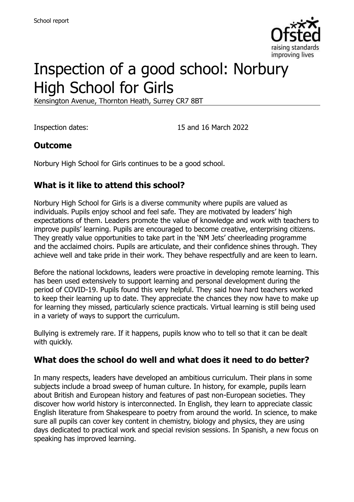

# Inspection of a good school: Norbury High School for Girls

Kensington Avenue, Thornton Heath, Surrey CR7 8BT

Inspection dates: 15 and 16 March 2022

### **Outcome**

Norbury High School for Girls continues to be a good school.

## **What is it like to attend this school?**

Norbury High School for Girls is a diverse community where pupils are valued as individuals. Pupils enjoy school and feel safe. They are motivated by leaders' high expectations of them. Leaders promote the value of knowledge and work with teachers to improve pupils' learning. Pupils are encouraged to become creative, enterprising citizens. They greatly value opportunities to take part in the 'NM Jets' cheerleading programme and the acclaimed choirs. Pupils are articulate, and their confidence shines through. They achieve well and take pride in their work. They behave respectfully and are keen to learn.

Before the national lockdowns, leaders were proactive in developing remote learning. This has been used extensively to support learning and personal development during the period of COVID-19. Pupils found this very helpful. They said how hard teachers worked to keep their learning up to date. They appreciate the chances they now have to make up for learning they missed, particularly science practicals. Virtual learning is still being used in a variety of ways to support the curriculum.

Bullying is extremely rare. If it happens, pupils know who to tell so that it can be dealt with quickly.

#### **What does the school do well and what does it need to do better?**

In many respects, leaders have developed an ambitious curriculum. Their plans in some subjects include a broad sweep of human culture. In history, for example, pupils learn about British and European history and features of past non-European societies. They discover how world history is interconnected. In English, they learn to appreciate classic English literature from Shakespeare to poetry from around the world. In science, to make sure all pupils can cover key content in chemistry, biology and physics, they are using days dedicated to practical work and special revision sessions. In Spanish, a new focus on speaking has improved learning.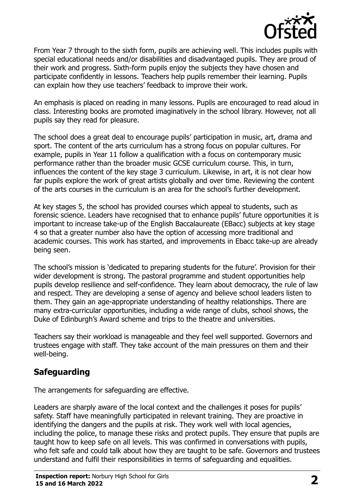

From Year 7 through to the sixth form, pupils are achieving well. This includes pupils with special educational needs and/or disabilities and disadvantaged pupils. They are proud of their work and progress. Sixth-form pupils enjoy the subjects they have chosen and participate confidently in lessons. Teachers help pupils remember their learning. Pupils can explain how they use teachers' feedback to improve their work.

An emphasis is placed on reading in many lessons. Pupils are encouraged to read aloud in class. Interesting books are promoted imaginatively in the school library. However, not all pupils say they read for pleasure.

The school does a great deal to encourage pupils' participation in music, art, drama and sport. The content of the arts curriculum has a strong focus on popular cultures. For example, pupils in Year 11 follow a qualification with a focus on contemporary music performance rather than the broader music GCSE curriculum course. This, in turn, influences the content of the key stage 3 curriculum. Likewise, in art, it is not clear how far pupils explore the work of great artists globally and over time. Reviewing the content of the arts courses in the curriculum is an area for the school's further development.

At key stages 5, the school has provided courses which appeal to students, such as forensic science. Leaders have recognised that to enhance pupils' future opportunities it is important to increase take-up of the English Baccalaureate (EBacc) subjects at key stage 4 so that a greater number also have the option of accessing more traditional and academic courses. This work has started, and improvements in Ebacc take-up are already being seen.

The school's mission is 'dedicated to preparing students for the future'. Provision for their wider development is strong. The pastoral programme and student opportunities help pupils develop resilience and self-confidence. They learn about democracy, the rule of law and respect. They are developing a sense of agency and believe school leaders listen to them. They gain an age-appropriate understanding of healthy relationships. There are many extra-curricular opportunities, including a wide range of clubs, school shows, the Duke of Edinburgh's Award scheme and trips to the theatre and universities.

Teachers say their workload is manageable and they feel well supported. Governors and trustees engage with staff. They take account of the main pressures on them and their well-being.

## **Safeguarding**

The arrangements for safeguarding are effective.

Leaders are sharply aware of the local context and the challenges it poses for pupils' safety. Staff have meaningfully participated in relevant training. They are proactive in identifying the dangers and the pupils at risk. They work well with local agencies, including the police, to manage these risks and protect pupils. They ensure that pupils are taught how to keep safe on all levels. This was confirmed in conversations with pupils, who felt safe and could talk about how they are taught to be safe. Governors and trustees understand and fulfil their responsibilities in terms of safeguarding and equalities.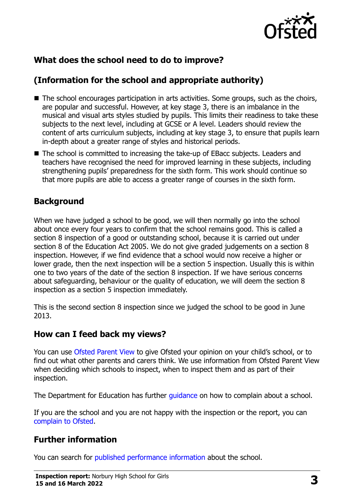

## **What does the school need to do to improve?**

## **(Information for the school and appropriate authority)**

- The school encourages participation in arts activities. Some groups, such as the choirs, are popular and successful. However, at key stage 3, there is an imbalance in the musical and visual arts styles studied by pupils. This limits their readiness to take these subjects to the next level, including at GCSE or A level. Leaders should review the content of arts curriculum subjects, including at key stage 3, to ensure that pupils learn in-depth about a greater range of styles and historical periods.
- The school is committed to increasing the take-up of EBacc subjects. Leaders and teachers have recognised the need for improved learning in these subjects, including strengthening pupils' preparedness for the sixth form. This work should continue so that more pupils are able to access a greater range of courses in the sixth form.

#### **Background**

When we have judged a school to be good, we will then normally go into the school about once every four years to confirm that the school remains good. This is called a section 8 inspection of a good or outstanding school, because it is carried out under section 8 of the Education Act 2005. We do not give graded judgements on a section 8 inspection. However, if we find evidence that a school would now receive a higher or lower grade, then the next inspection will be a section 5 inspection. Usually this is within one to two years of the date of the section 8 inspection. If we have serious concerns about safeguarding, behaviour or the quality of education, we will deem the section 8 inspection as a section 5 inspection immediately.

This is the second section 8 inspection since we judged the school to be good in June 2013.

#### **How can I feed back my views?**

You can use [Ofsted Parent View](https://parentview.ofsted.gov.uk/) to give Ofsted your opinion on your child's school, or to find out what other parents and carers think. We use information from Ofsted Parent View when deciding which schools to inspect, when to inspect them and as part of their inspection.

The Department for Education has further quidance on how to complain about a school.

If you are the school and you are not happy with the inspection or the report, you can [complain to Ofsted.](https://www.gov.uk/complain-ofsted-report)

#### **Further information**

You can search for [published performance information](http://www.compare-school-performance.service.gov.uk/) about the school.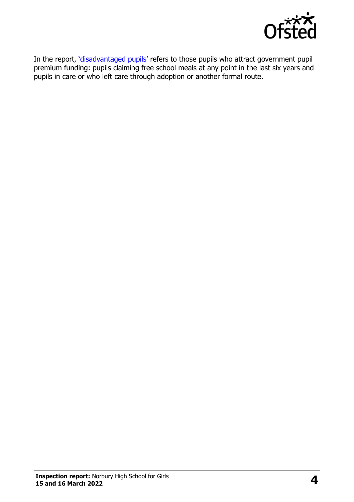

In the report, '[disadvantaged pupils](http://www.gov.uk/guidance/pupil-premium-information-for-schools-and-alternative-provision-settings)' refers to those pupils who attract government pupil premium funding: pupils claiming free school meals at any point in the last six years and pupils in care or who left care through adoption or another formal route.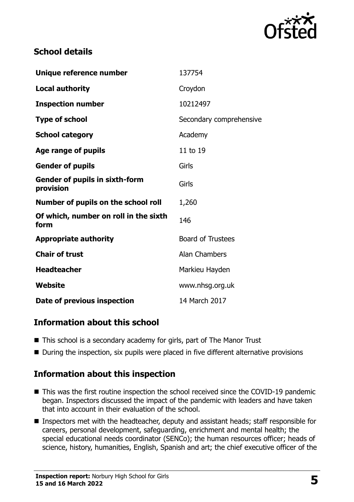

### **School details**

| Unique reference number                            | 137754                   |
|----------------------------------------------------|--------------------------|
| <b>Local authority</b>                             | Croydon                  |
| <b>Inspection number</b>                           | 10212497                 |
| <b>Type of school</b>                              | Secondary comprehensive  |
| <b>School category</b>                             | Academy                  |
| Age range of pupils                                | 11 to 19                 |
| <b>Gender of pupils</b>                            | Girls                    |
| <b>Gender of pupils in sixth-form</b><br>provision | Girls                    |
| Number of pupils on the school roll                | 1,260                    |
| Of which, number on roll in the sixth<br>form      | 146                      |
| <b>Appropriate authority</b>                       | <b>Board of Trustees</b> |
| <b>Chair of trust</b>                              | <b>Alan Chambers</b>     |
| <b>Headteacher</b>                                 | Markieu Hayden           |
| Website                                            | www.nhsg.org.uk          |
| Date of previous inspection                        | 14 March 2017            |

## **Information about this school**

- This school is a secondary academy for girls, part of The Manor Trust
- During the inspection, six pupils were placed in five different alternative provisions

#### **Information about this inspection**

- This was the first routine inspection the school received since the COVID-19 pandemic began. Inspectors discussed the impact of the pandemic with leaders and have taken that into account in their evaluation of the school.
- Inspectors met with the headteacher, deputy and assistant heads; staff responsible for careers, personal development, safeguarding, enrichment and mental health; the special educational needs coordinator (SENCo); the human resources officer; heads of science, history, humanities, English, Spanish and art; the chief executive officer of the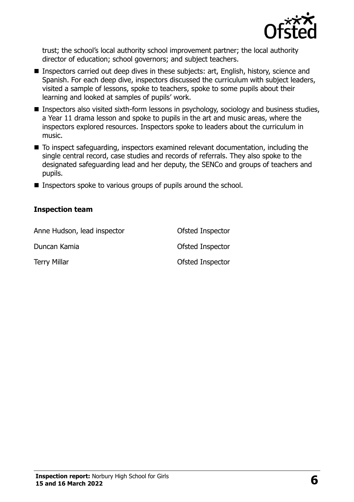

trust; the school's local authority school improvement partner; the local authority director of education; school governors; and subject teachers.

- Inspectors carried out deep dives in these subjects: art, English, history, science and Spanish. For each deep dive, inspectors discussed the curriculum with subject leaders, visited a sample of lessons, spoke to teachers, spoke to some pupils about their learning and looked at samples of pupils' work.
- **Inspectors also visited sixth-form lessons in psychology, sociology and business studies,** a Year 11 drama lesson and spoke to pupils in the art and music areas, where the inspectors explored resources. Inspectors spoke to leaders about the curriculum in music.
- To inspect safeguarding, inspectors examined relevant documentation, including the single central record, case studies and records of referrals. They also spoke to the designated safeguarding lead and her deputy, the SENCo and groups of teachers and pupils.
- **Inspectors spoke to various groups of pupils around the school.**

#### **Inspection team**

| Anne Hudson, lead inspector | Ofsted Inspector |
|-----------------------------|------------------|
| Duncan Kamia                | Ofsted Inspector |
| <b>Terry Millar</b>         | Ofsted Inspector |